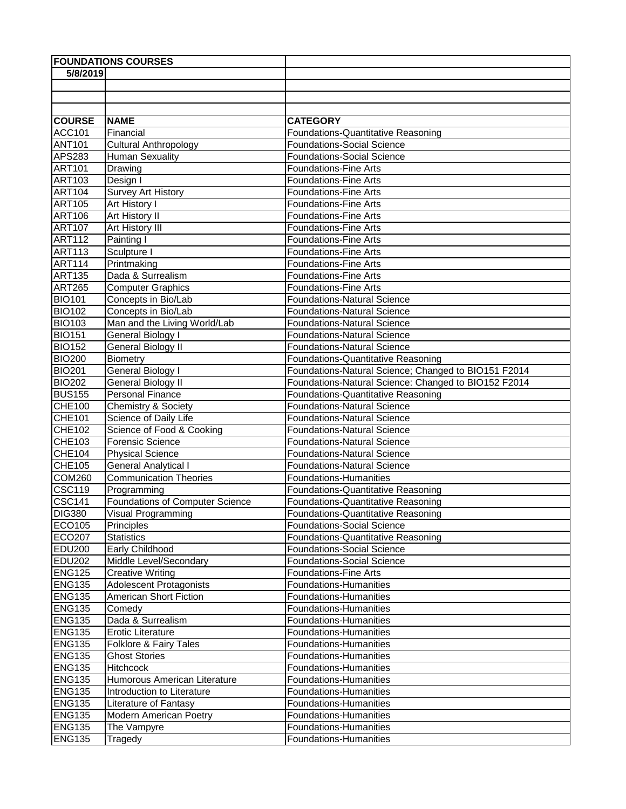|                                | <b>FOUNDATIONS COURSES</b>                |                                                        |
|--------------------------------|-------------------------------------------|--------------------------------------------------------|
| 5/8/2019                       |                                           |                                                        |
|                                |                                           |                                                        |
|                                |                                           |                                                        |
|                                |                                           |                                                        |
| <b>COURSE</b>                  | <b>NAME</b>                               | <b>CATEGORY</b>                                        |
| <b>ACC101</b>                  | Financial                                 | Foundations-Quantitative Reasoning                     |
| <b>ANT101</b>                  | <b>Cultural Anthropology</b>              | <b>Foundations-Social Science</b>                      |
| <b>APS283</b>                  | <b>Human Sexuality</b>                    | <b>Foundations-Social Science</b>                      |
| <b>ART101</b>                  | Drawing                                   | <b>Foundations-Fine Arts</b>                           |
| <b>ART103</b>                  | Design I                                  | <b>Foundations-Fine Arts</b>                           |
| <b>ART104</b>                  | <b>Survey Art History</b>                 | <b>Foundations-Fine Arts</b>                           |
| <b>ART105</b>                  | Art History I                             | <b>Foundations-Fine Arts</b>                           |
| <b>ART106</b>                  | Art History II                            | <b>Foundations-Fine Arts</b>                           |
| <b>ART107</b>                  | Art History III                           | <b>Foundations-Fine Arts</b>                           |
| <b>ART112</b>                  | Painting I                                | <b>Foundations-Fine Arts</b>                           |
| <b>ART113</b>                  | Sculpture I                               | <b>Foundations-Fine Arts</b>                           |
| <b>ART114</b>                  | Printmaking                               | <b>Foundations-Fine Arts</b>                           |
| <b>ART135</b>                  | Dada & Surrealism                         | <b>Foundations-Fine Arts</b>                           |
| <b>ART265</b>                  | <b>Computer Graphics</b>                  | <b>Foundations-Fine Arts</b>                           |
| <b>BIO101</b>                  | Concepts in Bio/Lab                       | <b>Foundations-Natural Science</b>                     |
| <b>BIO102</b>                  | Concepts in Bio/Lab                       | <b>Foundations-Natural Science</b>                     |
| <b>BIO103</b>                  | Man and the Living World/Lab              | <b>Foundations-Natural Science</b>                     |
| <b>BIO151</b>                  | General Biology I                         | <b>Foundations-Natural Science</b>                     |
| <b>BIO152</b>                  | <b>General Biology II</b>                 | <b>Foundations-Natural Science</b>                     |
| <b>BIO200</b>                  | <b>Biometry</b>                           | Foundations-Quantitative Reasoning                     |
| <b>BIO201</b>                  | General Biology I                         | Foundations-Natural Science; Changed to BIO151 F2014   |
| <b>BIO202</b>                  | <b>General Biology II</b>                 | Foundations-Natural Science: Changed to BIO152 F2014   |
| <b>BUS155</b>                  | Personal Finance                          | Foundations-Quantitative Reasoning                     |
| <b>CHE100</b>                  | Chemistry & Society                       | <b>Foundations-Natural Science</b>                     |
| <b>CHE101</b>                  | Science of Daily Life                     | <b>Foundations-Natural Science</b>                     |
| <b>CHE102</b>                  | Science of Food & Cooking                 | <b>Foundations-Natural Science</b>                     |
| CHE103                         | Forensic Science                          | <b>Foundations-Natural Science</b>                     |
| <b>CHE104</b>                  | <b>Physical Science</b>                   | <b>Foundations-Natural Science</b>                     |
| CHE105                         | <b>General Analytical I</b>               | <b>Foundations-Natural Science</b>                     |
| <b>COM260</b>                  | <b>Communication Theories</b>             | Foundations-Humanities                                 |
| <b>CSC119</b>                  | Programming                               | Foundations-Quantitative Reasoning                     |
| <b>CSC141</b>                  | Foundations of Computer Science           | Foundations-Quantitative Reasoning                     |
| <b>DIG380</b>                  | Visual Programming                        | Foundations-Quantitative Reasoning                     |
| ECO105                         | Principles                                | <b>Foundations-Social Science</b>                      |
| <b>ECO207</b>                  | <b>Statistics</b>                         | Foundations-Quantitative Reasoning                     |
| <b>EDU200</b><br><b>EDU202</b> | Early Childhood<br>Middle Level/Secondary | <b>Foundations-Social Science</b>                      |
| <b>ENG125</b>                  | <b>Creative Writing</b>                   | <b>Foundations-Social Science</b>                      |
| <b>ENG135</b>                  | Adolescent Protagonists                   | <b>Foundations-Fine Arts</b><br>Foundations-Humanities |
| <b>ENG135</b>                  | American Short Fiction                    | Foundations-Humanities                                 |
| <b>ENG135</b>                  | Comedy                                    | Foundations-Humanities                                 |
| <b>ENG135</b>                  | Dada & Surrealism                         | <b>Foundations-Humanities</b>                          |
| <b>ENG135</b>                  | <b>Erotic Literature</b>                  | <b>Foundations-Humanities</b>                          |
| <b>ENG135</b>                  | Folklore & Fairy Tales                    | Foundations-Humanities                                 |
| <b>ENG135</b>                  | <b>Ghost Stories</b>                      | Foundations-Humanities                                 |
| <b>ENG135</b>                  | Hitchcock                                 | <b>Foundations-Humanities</b>                          |
| <b>ENG135</b>                  | Humorous American Literature              | Foundations-Humanities                                 |
| <b>ENG135</b>                  | Introduction to Literature                | <b>Foundations-Humanities</b>                          |
| <b>ENG135</b>                  | Literature of Fantasy                     | Foundations-Humanities                                 |
| <b>ENG135</b>                  | <b>Modern American Poetry</b>             | Foundations-Humanities                                 |
| <b>ENG135</b>                  | The Vampyre                               | Foundations-Humanities                                 |
| <b>ENG135</b>                  | <b>Tragedy</b>                            | Foundations-Humanities                                 |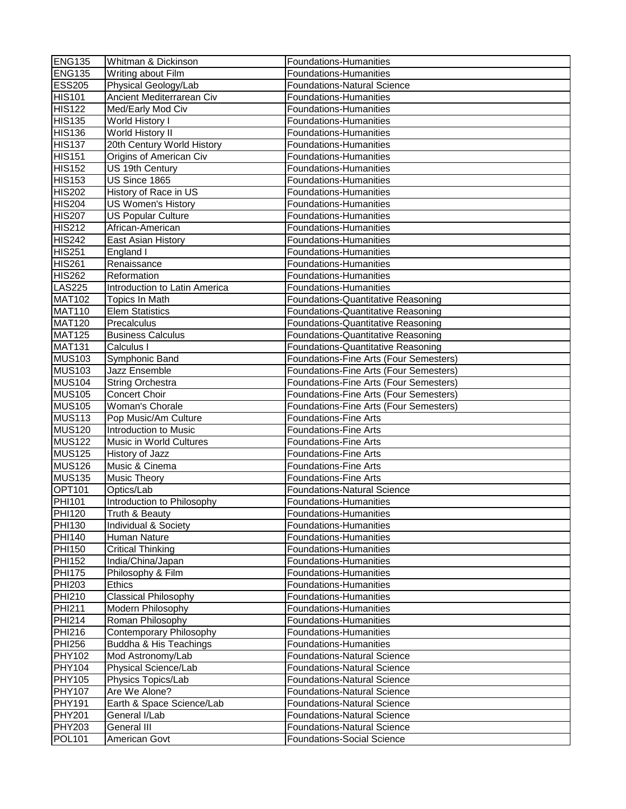| <b>ENG135</b> | Whitman & Dickinson                 | Foundations-Humanities                 |
|---------------|-------------------------------------|----------------------------------------|
| <b>ENG135</b> | Writing about Film                  | Foundations-Humanities                 |
| <b>ESS205</b> | Physical Geology/Lab                | <b>Foundations-Natural Science</b>     |
| <b>HIS101</b> | Ancient Mediterrarean Civ           | Foundations-Humanities                 |
| <b>HIS122</b> | Med/Early Mod Civ                   | <b>Foundations-Humanities</b>          |
| <b>HIS135</b> | World History I                     | <b>Foundations-Humanities</b>          |
| <b>HIS136</b> | World History II                    | Foundations-Humanities                 |
| <b>HIS137</b> | 20th Century World History          | Foundations-Humanities                 |
| <b>HIS151</b> | Origins of American Civ             | Foundations-Humanities                 |
| <b>HIS152</b> | US 19th Century                     | Foundations-Humanities                 |
| <b>HIS153</b> | US Since 1865                       | Foundations-Humanities                 |
| <b>HIS202</b> | History of Race in US               | Foundations-Humanities                 |
| <b>HIS204</b> | US Women's History                  | <b>Foundations-Humanities</b>          |
| <b>HIS207</b> | <b>US Popular Culture</b>           | <b>Foundations-Humanities</b>          |
| <b>HIS212</b> | African-American                    | Foundations-Humanities                 |
| <b>HIS242</b> | East Asian History                  | <b>Foundations-Humanities</b>          |
| <b>HIS251</b> | England I                           | Foundations-Humanities                 |
| <b>HIS261</b> | Renaissance                         | <b>Foundations-Humanities</b>          |
|               |                                     |                                        |
| <b>HIS262</b> | Reformation                         | <b>Foundations-Humanities</b>          |
| <b>LAS225</b> | Introduction to Latin America       | Foundations-Humanities                 |
| <b>MAT102</b> | <b>Topics In Math</b>               | Foundations-Quantitative Reasoning     |
| <b>MAT110</b> | <b>Elem Statistics</b>              | Foundations-Quantitative Reasoning     |
| <b>MAT120</b> | Precalculus                         | Foundations-Quantitative Reasoning     |
| <b>MAT125</b> | <b>Business Calculus</b>            | Foundations-Quantitative Reasoning     |
| <b>MAT131</b> | Calculus I                          | Foundations-Quantitative Reasoning     |
| <b>MUS103</b> | Symphonic Band                      | Foundations-Fine Arts (Four Semesters) |
| <b>MUS103</b> | Jazz Ensemble                       | Foundations-Fine Arts (Four Semesters) |
| <b>MUS104</b> | <b>String Orchestra</b>             | Foundations-Fine Arts (Four Semesters) |
| <b>MUS105</b> | Concert Choir                       | Foundations-Fine Arts (Four Semesters) |
| <b>MUS105</b> | Woman's Chorale                     | Foundations-Fine Arts (Four Semesters) |
| <b>MUS113</b> | Pop Music/Am Culture                | <b>Foundations-Fine Arts</b>           |
| <b>MUS120</b> | Introduction to Music               | Foundations-Fine Arts                  |
| <b>MUS122</b> | Music in World Cultures             | <b>Foundations-Fine Arts</b>           |
| <b>MUS125</b> | History of Jazz                     | <b>Foundations-Fine Arts</b>           |
| <b>MUS126</b> | Music & Cinema                      | <b>Foundations-Fine Arts</b>           |
| <b>MUS135</b> | Music Theory                        | <b>Foundations-Fine Arts</b>           |
| <b>OPT101</b> | Optics/Lab                          | <b>Foundations-Natural Science</b>     |
| <b>PHI101</b> | Introduction to Philosophy          | <b>Foundations-Humanities</b>          |
| <b>PHI120</b> | Truth & Beauty                      | Foundations-Humanities                 |
| <b>PHI130</b> | Individual & Society                | Foundations-Humanities                 |
| <b>PHI140</b> | Human Nature                        | Foundations-Humanities                 |
| <b>PHI150</b> | <b>Critical Thinking</b>            | Foundations-Humanities                 |
| <b>PHI152</b> | India/China/Japan                   | Foundations-Humanities                 |
| <b>PHI175</b> | Philosophy & Film                   | Foundations-Humanities                 |
| <b>PHI203</b> | <b>Ethics</b>                       | <b>Foundations-Humanities</b>          |
| <b>PHI210</b> | <b>Classical Philosophy</b>         | <b>Foundations-Humanities</b>          |
| <b>PHI211</b> | Modern Philosophy                   | <b>Foundations-Humanities</b>          |
| <b>PHI214</b> | Roman Philosophy                    | Foundations-Humanities                 |
| <b>PHI216</b> | Contemporary Philosophy             | Foundations-Humanities                 |
| <b>PHI256</b> | Buddha & His Teachings              | <b>Foundations-Humanities</b>          |
| <b>PHY102</b> | Mod Astronomy/Lab                   | <b>Foundations-Natural Science</b>     |
| <b>PHY104</b> | Physical Science/Lab                | <b>Foundations-Natural Science</b>     |
| <b>PHY105</b> |                                     | <b>Foundations-Natural Science</b>     |
|               | Physics Topics/Lab<br>Are We Alone? |                                        |
| <b>PHY107</b> |                                     | <b>Foundations-Natural Science</b>     |
| <b>PHY191</b> | Earth & Space Science/Lab           | <b>Foundations-Natural Science</b>     |
| <b>PHY201</b> | General I/Lab                       | <b>Foundations-Natural Science</b>     |
| <b>PHY203</b> | General III                         | Foundations-Natural Science            |
| <b>POL101</b> | American Govt                       | <b>Foundations-Social Science</b>      |